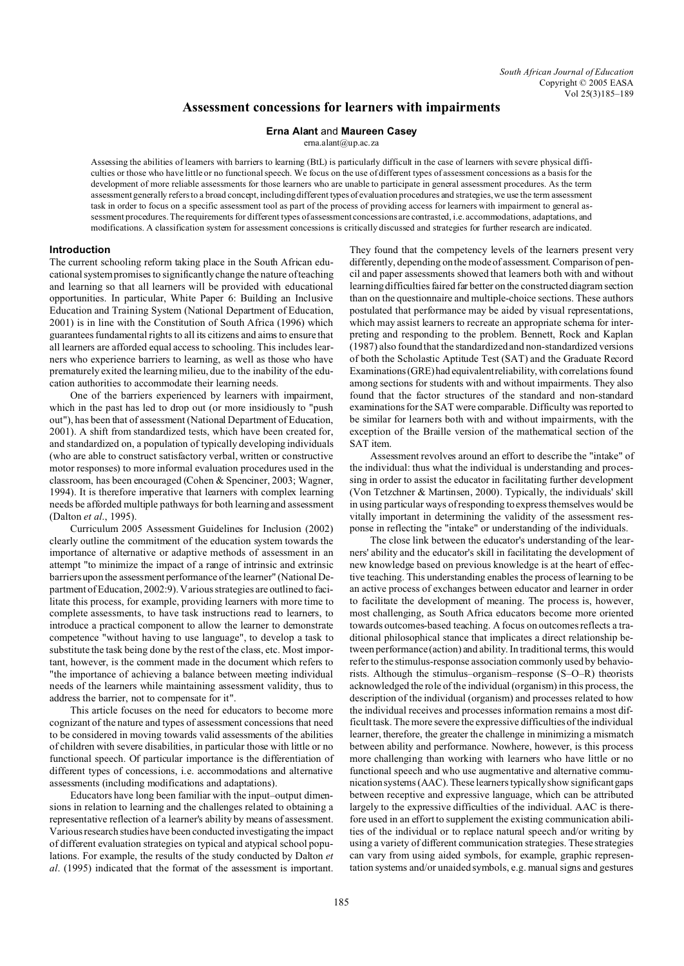# **Assessment concessions for learners with impairments**

### **Erna Alant** and **Maureen Casey**

erna.alant@up.ac.za

Assessing the abilities of learners with barriers to learning (BtL) is particularly difficult in the case of learners with severe physical difficulties or those who have little or no functional speech. We focus on the use of different types of assessment concessions as a basis for the development of more reliable assessments for those learners who are unable to participate in general assessment procedures. As the term assessment generally refers to a broad concept, including different types of evaluation procedures and strategies, we use the term assessment task in order to focus on a specific assessment tool as part of the process of providing access for learners with impairment to general assessment procedures. The requirements for different types of assessment concessions are contrasted, i.e. accommodations, adaptations, and modifications. A classification system for assessment concessions is critically discussed and strategies for further research are indicated.

# **Introduction**

The current schooling reform taking place in the South African educational system promises to significantly change the nature of teaching and learning so that all learners will be provided with educational opportunities. In particular, White Paper 6: Building an Inclusive Education and Training System (National Department of Education, 2001) is in line with the Constitution of South Africa (1996) which guarantees fundamental rights to all its citizens and aims to ensure that all learners are afforded equal access to schooling. This includes learners who experience barriers to learning, as well as those who have prematurely exited the learning milieu, due to the inability of the education authorities to accommodate their learning needs.

One of the barriers experienced by learners with impairment, which in the past has led to drop out (or more insidiously to "push out"), has been that of assessment (National Department of Education, 2001). A shift from standardized tests, which have been created for, and standardized on, a population of typically developing individuals (who are able to construct satisfactory verbal, written or constructive motor responses) to more informal evaluation procedures used in the classroom, has been encouraged (Cohen & Spenciner, 2003; Wagner, 1994). It is therefore imperative that learners with complex learning needs be afforded multiple pathways for both learning and assessment (Dalton *et al*., 1995).

Curriculum 2005 Assessment Guidelines for Inclusion (2002) clearly outline the commitment of the education system towards the importance of alternative or adaptive methods of assessment in an attempt "to minimize the impact of a range of intrinsic and extrinsic barriers upon the assessment performance of the learner" (National Department of Education, 2002:9). Various strategies are outlined to facilitate this process, for example, providing learners with more time to complete assessments, to have task instructions read to learners, to introduce a practical component to allow the learner to demonstrate competence "without having to use language", to develop a task to substitute the task being done by the rest of the class, etc. Most important, however, is the comment made in the document which refers to "the importance of achieving a balance between meeting individual needs of the learners while maintaining assessment validity, thus to address the barrier, not to compensate for it".

This article focuses on the need for educators to become more cognizant of the nature and types of assessment concessions that need to be considered in moving towards valid assessments of the abilities of children with severe disabilities, in particular those with little or no functional speech. Of particular importance is the differentiation of different types of concessions, i.e. accommodations and alternative assessments (including modifications and adaptations).

Educators have long been familiar with the input–output dimensions in relation to learning and the challenges related to obtaining a representative reflection of a learner's ability by means of assessment. Various research studies have been conducted investigating the impact of different evaluation strategies on typical and atypical school populations. For example, the results of the study conducted by Dalton *et al*. (1995) indicated that the format of the assessment is important.

They found that the competency levels of the learners present very differently, depending on the mode of assessment. Comparison of pencil and paper assessments showed that learners both with and without learning difficulties faired far better on the constructed diagram section than on the questionnaire and multiple-choice sections. These authors postulated that performance may be aided by visual representations, which may assist learners to recreate an appropriate schema for interpreting and responding to the problem. Bennett, Rock and Kaplan (1987) also found that the standardized and non-standardized versions of both the Scholastic Aptitude Test (SAT) and the Graduate Record Examinations(GRE)had equivalentreliability, with correlations found among sections for students with and without impairments. They also found that the factor structures of the standard and non-standard examinations for the SAT were comparable. Difficulty was reported to be similar for learners both with and without impairments, with the exception of the Braille version of the mathematical section of the SAT item.

Assessment revolves around an effort to describe the "intake" of the individual: thus what the individual is understanding and processing in order to assist the educator in facilitating further development (Von Tetzchner & Martinsen, 2000). Typically, the individuals' skill in using particular ways of responding to express themselves would be vitally important in determining the validity of the assessment response in reflecting the "intake" or understanding of the individuals.

The close link between the educator's understanding of the learners' ability and the educator's skill in facilitating the development of new knowledge based on previous knowledge is at the heart of effective teaching. This understanding enables the process of learning to be an active process of exchanges between educator and learner in order to facilitate the development of meaning. The process is, however, most challenging, as South Africa educators become more oriented towards outcomes-based teaching. A focus on outcomes reflects a traditional philosophical stance that implicates a direct relationship between performance (action) and ability. In traditional terms, this would refer to the stimulus-response association commonly used by behaviorists. Although the stimulus–organism–response (S–O–R) theorists acknowledged the role of the individual (organism) in this process, the description of the individual (organism) and processes related to how the individual receives and processes information remains a most difficult task. The more severe the expressive difficulties of the individual learner, therefore, the greater the challenge in minimizing a mismatch between ability and performance. Nowhere, however, is this process more challenging than working with learners who have little or no functional speech and who use augmentative and alternative communication systems (AAC). These learners typically show significantgaps between receptive and expressive language, which can be attributed largely to the expressive difficulties of the individual. AAC is therefore used in an effort to supplement the existing communication abilities of the individual or to replace natural speech and/or writing by using a variety of different communication strategies. These strategies can vary from using aided symbols, for example, graphic representation systems and/or unaided symbols, e.g. manual signs and gestures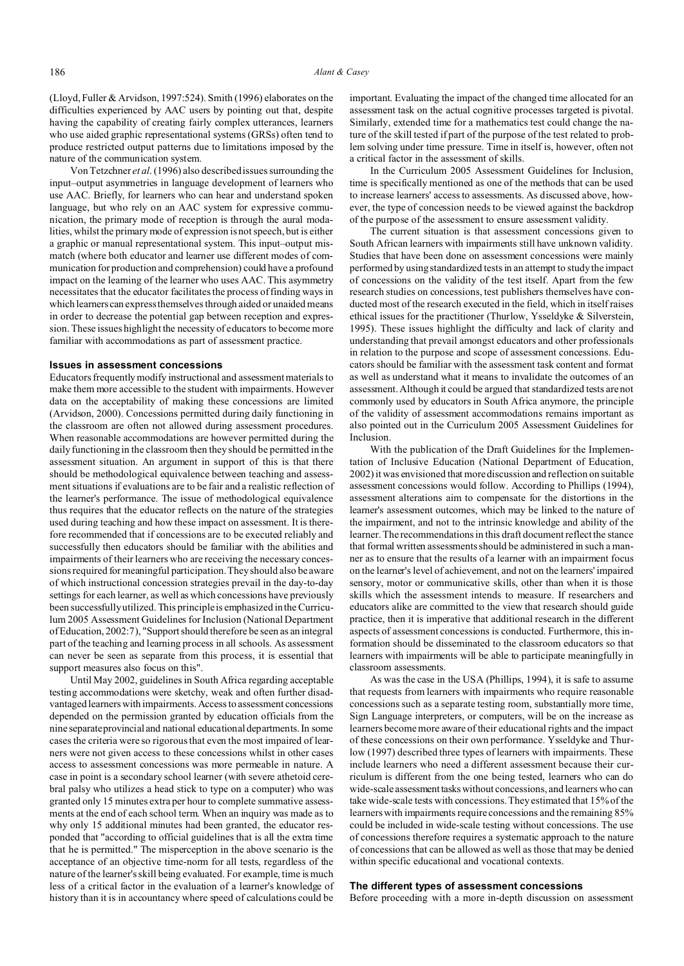(Lloyd, Fuller & Arvidson, 1997:524). Smith (1996) elaborates on the difficulties experienced by AAC users by pointing out that, despite having the capability of creating fairly complex utterances, learners who use aided graphic representational systems (GRSs) often tend to produce restricted output patterns due to limitations imposed by the nature of the communication system.

Von Tetzchner *et al*. (1996) also described issues surrounding the input–output asymmetries in language development of learners who use AAC. Briefly, for learners who can hear and understand spoken language, but who rely on an AAC system for expressive communication, the primary mode of reception is through the aural modalities, whilst the primary mode of expression is not speech, but is either a graphic or manual representational system. This input–output mismatch (where both educator and learner use different modes of communication for production and comprehension) could have a profound impact on the learning of the learner who uses AAC. This asymmetry necessitates that the educator facilitates the process of finding ways in which learners can express themselves through aided or unaided means in order to decrease the potential gap between reception and expression. These issues highlight the necessity of educators to become more familiar with accommodations as part of assessment practice.

#### **Issues in assessment concessions**

Educators frequently modify instructional and assessment materials to make them more accessible to the student with impairments. However data on the acceptability of making these concessions are limited (Arvidson, 2000). Concessions permitted during daily functioning in the classroom are often not allowed during assessment procedures. When reasonable accommodations are however permitted during the daily functioning in the classroom then they should be permitted in the assessment situation. An argument in support of this is that there should be methodological equivalence between teaching and assessment situations if evaluations are to be fair and a realistic reflection of the learner's performance. The issue of methodological equivalence thus requires that the educator reflects on the nature of the strategies used during teaching and how these impact on assessment. It is therefore recommended that if concessions are to be executed reliably and successfully then educators should be familiar with the abilities and impairments of their learners who are receiving the necessary concessions required for meaningful participation. They should also be aware of which instructional concession strategies prevail in the day-to-day settings for each learner, as well as which concessions have previously been successfully utilized. This principle is emphasized in the Curriculum 2005 Assessment Guidelines for Inclusion (National Department of Education, 2002:7), "Support should therefore be seen as an integral part of the teaching and learning process in all schools. As assessment can never be seen as separate from this process, it is essential that support measures also focus on this".

Until May 2002, guidelines in South Africa regarding acceptable testing accommodations were sketchy, weak and often further disadvantaged learners with impairments. Access to assessment concessions depended on the permission granted by education officials from the nine separateprovincial and national educational departments. In some cases the criteria were so rigorous that even the most impaired of learners were not given access to these concessions whilst in other cases access to assessment concessions was more permeable in nature. A case in point is a secondary school learner (with severe athetoid cerebral palsy who utilizes a head stick to type on a computer) who was granted only 15 minutes extra per hour to complete summative assessments at the end of each school term. When an inquiry was made as to why only 15 additional minutes had been granted, the educator responded that "according to official guidelines that is all the extra time that he is permitted." The misperception in the above scenario is the acceptance of an objective time-norm for all tests, regardless of the nature of the learner's skill being evaluated. For example, time is much less of a critical factor in the evaluation of a learner's knowledge of history than it is in accountancy where speed of calculations could be

important. Evaluating the impact of the changed time allocated for an assessment task on the actual cognitive processes targeted is pivotal. Similarly, extended time for a mathematics test could change the nature of the skill tested if part of the purpose of the test related to problem solving under time pressure. Time in itself is, however, often not a critical factor in the assessment of skills.

In the Curriculum 2005 Assessment Guidelines for Inclusion, time is specifically mentioned as one of the methods that can be used to increase learners' access to assessments. As discussed above, however, the type of concession needs to be viewed against the backdrop of the purpose of the assessment to ensure assessment validity.

The current situation is that assessment concessions given to South African learners with impairments still have unknown validity. Studies that have been done on assessment concessions were mainly performed by using standardized tests in an attempt to study the impact of concessions on the validity of the test itself. Apart from the few research studies on concessions, test publishers themselves have conducted most of the research executed in the field, which in itself raises ethical issues for the practitioner (Thurlow, Ysseldyke & Silverstein, 1995). These issues highlight the difficulty and lack of clarity and understanding that prevail amongst educators and other professionals in relation to the purpose and scope of assessment concessions. Educators should be familiar with the assessment task content and format as well as understand what it means to invalidate the outcomes of an assessment. Although it could be argued that standardized tests are not commonly used by educators in South Africa anymore, the principle of the validity of assessment accommodations remains important as also pointed out in the Curriculum 2005 Assessment Guidelines for Inclusion.

With the publication of the Draft Guidelines for the Implementation of Inclusive Education (National Department of Education, 2002) it was envisioned that more discussion and reflection on suitable assessment concessions would follow. According to Phillips (1994), assessment alterations aim to compensate for the distortions in the learner's assessment outcomes, which may be linked to the nature of the impairment, and not to the intrinsic knowledge and ability of the learner. The recommendations in this draft document reflect the stance that formal written assessments should be administered in such a manner as to ensure that the results of a learner with an impairment focus on the learner's level of achievement, and not on the learners' impaired sensory, motor or communicative skills, other than when it is those skills which the assessment intends to measure. If researchers and educators alike are committed to the view that research should guide practice, then it is imperative that additional research in the different aspects of assessment concessions is conducted. Furthermore, this information should be disseminated to the classroom educators so that learners with impairments will be able to participate meaningfully in classroom assessments.

As was the case in the USA (Phillips, 1994), it is safe to assume that requests from learners with impairments who require reasonable concessions such as a separate testing room, substantially more time, Sign Language interpreters, or computers, will be on the increase as learners become more aware of their educational rights and the impact of these concessions on their own performance. Ysseldyke and Thurlow (1997) described three types of learners with impairments. These include learners who need a different assessment because their curriculum is different from the one being tested, learners who can do wide-scale assessment tasks without concessions, and learners who can take wide-scale tests with concessions. They estimated that 15% of the learners with impairments require concessions and the remaining 85% could be included in wide-scale testing without concessions. The use of concessions therefore requires a systematic approach to the nature of concessions that can be allowed as well as those that may be denied within specific educational and vocational contexts.

## **The different types of assessment concessions**

Before proceeding with a more in-depth discussion on assessment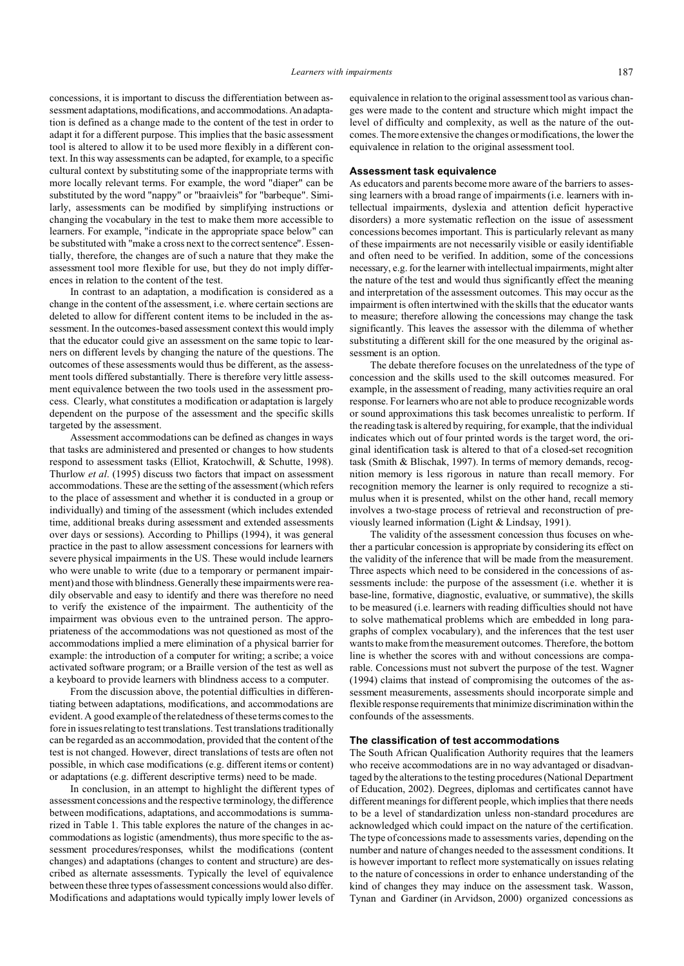concessions, it is important to discuss the differentiation between assessment adaptations, modifications, and accommodations.An adaptation is defined as a change made to the content of the test in order to adapt it for a different purpose. This implies that the basic assessment tool is altered to allow it to be used more flexibly in a different context. In this way assessments can be adapted, for example, to a specific cultural context by substituting some of the inappropriate terms with more locally relevant terms. For example, the word "diaper" can be substituted by the word "nappy" or "braaivleis" for "barbeque". Similarly, assessments can be modified by simplifying instructions or changing the vocabulary in the test to make them more accessible to learners. For example, "indicate in the appropriate space below" can be substituted with "make a cross next to the correct sentence". Essentially, therefore, the changes are of such a nature that they make the assessment tool more flexible for use, but they do not imply differences in relation to the content of the test.

In contrast to an adaptation, a modification is considered as a change in the content of the assessment, i.e. where certain sections are deleted to allow for different content items to be included in the assessment. In the outcomes-based assessment context this would imply that the educator could give an assessment on the same topic to learners on different levels by changing the nature of the questions. The outcomes of these assessments would thus be different, as the assessment tools differed substantially. There is therefore very little assessment equivalence between the two tools used in the assessment process. Clearly, what constitutes a modification or adaptation is largely dependent on the purpose of the assessment and the specific skills targeted by the assessment.

Assessment accommodations can be defined as changes in ways that tasks are administered and presented or changes to how students respond to assessment tasks (Elliot, Kratochwill, & Schutte, 1998). Thurlow *et al*. (1995) discuss two factors that impact on assessment accommodations. These are the setting of the assessment (which refers to the place of assessment and whether it is conducted in a group or individually) and timing of the assessment (which includes extended time, additional breaks during assessment and extended assessments over days or sessions). According to Phillips (1994), it was general practice in the past to allow assessment concessions for learners with severe physical impairments in the US. These would include learners who were unable to write (due to a temporary or permanent impairment) and those with blindness. Generally these impairments were readily observable and easy to identify and there was therefore no need to verify the existence of the impairment. The authenticity of the impairment was obvious even to the untrained person. The appropriateness of the accommodations was not questioned as most of the accommodations implied a mere elimination of a physical barrier for example: the introduction of a computer for writing; a scribe; a voice activated software program; or a Braille version of the test as well as a keyboard to provide learners with blindness access to a computer.

From the discussion above, the potential difficulties in differentiating between adaptations, modifications, and accommodations are evident. A good example of the relatedness of these terms comes to the fore in issues relating to test translations. Test translations traditionally can be regarded as an accommodation, provided that the content of the test is not changed. However, direct translations of tests are often not possible, in which case modifications (e.g. different items or content) or adaptations (e.g. different descriptive terms) need to be made.

In conclusion, in an attempt to highlight the different types of assessment concessions and the respective terminology, the difference between modifications, adaptations, and accommodations is summarized in Table 1. This table explores the nature of the changes in accommodations as logistic (amendments), thus more specific to the assessment procedures/responses, whilst the modifications (content changes) and adaptations (changes to content and structure) are described as alternate assessments. Typically the level of equivalence between these three types of assessment concessions would also differ. Modifications and adaptations would typically imply lower levels of equivalence in relation to the original assessment tool as various changes were made to the content and structure which might impact the level of difficulty and complexity, as well as the nature of the outcomes. The more extensive the changes or modifications, the lower the equivalence in relation to the original assessment tool.

# **Assessment task equivalence**

As educators and parents become more aware of the barriers to assessing learners with a broad range of impairments (i.e. learners with intellectual impairments, dyslexia and attention deficit hyperactive disorders) a more systematic reflection on the issue of assessment concessions becomes important. This is particularly relevant as many of these impairments are not necessarily visible or easily identifiable and often need to be verified. In addition, some of the concessions necessary, e.g. for the learner with intellectual impairments, might alter the nature of the test and would thus significantly effect the meaning and interpretation of the assessment outcomes. This may occur as the impairment is often intertwined with the skills that the educator wants to measure; therefore allowing the concessions may change the task significantly. This leaves the assessor with the dilemma of whether substituting a different skill for the one measured by the original assessment is an option.

The debate therefore focuses on the unrelatedness of the type of concession and the skills used to the skill outcomes measured. For example, in the assessment of reading, many activities require an oral response. For learners who are not able to produce recognizable words or sound approximations this task becomes unrealistic to perform. If the reading task is altered by requiring, for example, that the individual indicates which out of four printed words is the target word, the original identification task is altered to that of a closed-set recognition task (Smith & Blischak, 1997). In terms of memory demands, recognition memory is less rigorous in nature than recall memory. For recognition memory the learner is only required to recognize a stimulus when it is presented, whilst on the other hand, recall memory involves a two-stage process of retrieval and reconstruction of previously learned information (Light & Lindsay, 1991).

The validity of the assessment concession thus focuses on whether a particular concession is appropriate by considering its effect on the validity of the inference that will be made from the measurement. Three aspects which need to be considered in the concessions of assessments include: the purpose of the assessment (i.e. whether it is base-line, formative, diagnostic, evaluative, or summative), the skills to be measured (i.e. learners with reading difficulties should not have to solve mathematical problems which are embedded in long paragraphs of complex vocabulary), and the inferences that the test user wants to make from the measurement outcomes. Therefore, the bottom line is whether the scores with and without concessions are comparable. Concessions must not subvert the purpose of the test. Wagner (1994) claims that instead of compromising the outcomes of the assessment measurements, assessments should incorporate simple and flexible response requirements that minimize discrimination within the confounds of the assessments.

#### **The classification of test accommodations**

The South African Qualification Authority requires that the learners who receive accommodations are in no way advantaged or disadvantaged by the alterations to the testing procedures (National Department of Education, 2002). Degrees, diplomas and certificates cannot have different meanings for different people, which implies that there needs to be a level of standardization unless non-standard procedures are acknowledged which could impact on the nature of the certification. The type of concessions made to assessments varies, depending on the number and nature of changes needed to the assessment conditions. It is however important to reflect more systematically on issues relating to the nature of concessions in order to enhance understanding of the kind of changes they may induce on the assessment task. Wasson, Tynan and Gardiner (in Arvidson, 2000) organized concessions as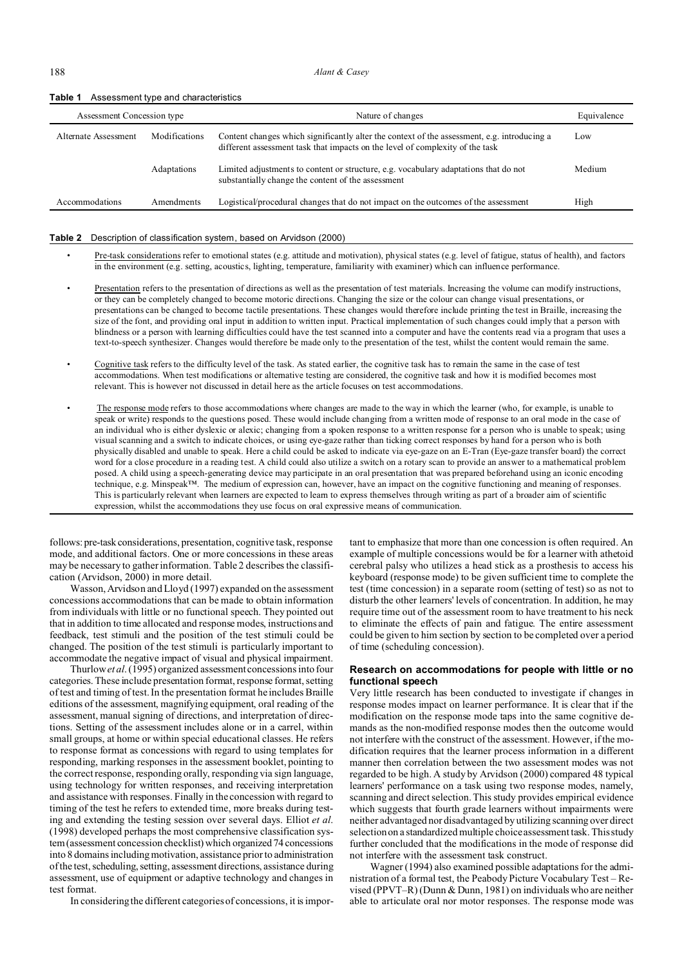188 *Alant & Casey*

| Assessment Concession type |               | Nature of changes                                                                                                                                                            | Equivalence |
|----------------------------|---------------|------------------------------------------------------------------------------------------------------------------------------------------------------------------------------|-------------|
| Alternate Assessment       | Modifications | Content changes which significantly alter the context of the assessment, e.g. introducing a<br>different assessment task that impacts on the level of complexity of the task | Low         |
|                            | Adaptations   | Limited adjustments to content or structure, e.g. vocabulary adaptations that do not<br>substantially change the content of the assessment                                   | Medium      |
| Accommodations             | Amendments    | Logistical/procedural changes that do not impact on the outcomes of the assessment                                                                                           | High        |

### **Table 1** Assessment type and characteristics

### **Table 2** Description of classification system, based on Arvidson (2000)

- Pre-task considerations refer to emotional states (e.g. attitude and motivation), physical states (e.g. level of fatigue, status of health), and factors in the environment (e.g. setting, acoustics, lighting, temperature, familiarity with examiner) which can influence performance.
- Presentation refers to the presentation of directions as well as the presentation of test materials. Increasing the volume can modify instructions, or they can be completely changed to become motoric directions. Changing the size or the colour can change visual presentations, or presentations can be changed to become tactile presentations. These changes would therefore include printing the test in Braille, increasing the size of the font, and providing oral input in addition to written input. Practical implementation of such changes could imply that a person with blindness or a person with learning difficulties could have the test scanned into a computer and have the contents read via a program that uses a text-to-speech synthesizer. Changes would therefore be made only to the presentation of the test, whilst the content would remain the same.
- Cognitive task refers to the difficulty level of the task. As stated earlier, the cognitive task has to remain the same in the case of test accommodations. When test modifications or alternative testing are considered, the cognitive task and how it is modified becomes most relevant. This is however not discussed in detail here as the article focuses on test accommodations.
- The response mode refers to those accommodations where changes are made to the way in which the learner (who, for example, is unable to speak or write) responds to the questions posed. These would include changing from a written mode of response to an oral mode in the case of an individual who is either dyslexic or alexic; changing from a spoken response to a written response for a person who is unable to speak; using visual scanning and a switch to indicate choices, or using eye-gaze rather than ticking correct responses by hand for a person who is both physically disabled and unable to speak. Here a child could be asked to indicate via eye-gaze on an E-Tran (Eye-gaze transfer board) the correct word for a close procedure in a reading test. A child could also utilize a switch on a rotary scan to provide an answer to a mathematical problem posed. A child using a speech-generating device may participate in an oral presentation that was prepared beforehand using an iconic encoding technique, e.g. Minspeak™. The medium of expression can, however, have an impact on the cognitive functioning and meaning of responses. This is particularly relevant when learners are expected to learn to express themselves through writing as part of a broader aim of scientific expression, whilst the accommodations they use focus on oral expressive means of communication.

follows: pre-task considerations, presentation, cognitive task, response mode, and additional factors. One or more concessions in these areas may be necessary to gather information. Table 2 describes the classification (Arvidson, 2000) in more detail.

Wasson, Arvidson and Lloyd (1997) expanded on the assessment concessions accommodations that can be made to obtain information from individuals with little or no functional speech. They pointed out that in addition to time allocated and response modes, instructions and feedback, test stimuli and the position of the test stimuli could be changed. The position of the test stimuli is particularly important to accommodate the negative impact of visual and physical impairment.

Thurlow*et al*. (1995) organized assessment concessions into four categories. These include presentation format, response format, setting of test and timing of test. In the presentation format he includes Braille editions of the assessment, magnifying equipment, oral reading of the assessment, manual signing of directions, and interpretation of directions. Setting of the assessment includes alone or in a carrel, within small groups, at home or within special educational classes. He refers to response format as concessions with regard to using templates for responding, marking responses in the assessment booklet, pointing to the correct response, responding orally, responding via sign language, using technology for written responses, and receiving interpretation and assistance with responses. Finally in the concession with regard to timing of the test he refers to extended time, more breaks during testing and extending the testing session over several days. Elliot *et al*. (1998) developed perhaps the most comprehensive classification system (assessment concession checklist) which organized 74 concessions into 8 domains including motivation, assistance prior to administration of the test, scheduling, setting, assessment directions, assistance during assessment, use of equipment or adaptive technology and changes in test format.

In considering the different categories of concessions, it is impor-

tant to emphasize that more than one concession is often required. An example of multiple concessions would be for a learner with athetoid cerebral palsy who utilizes a head stick as a prosthesis to access his keyboard (response mode) to be given sufficient time to complete the test (time concession) in a separate room (setting of test) so as not to disturb the other learners' levels of concentration. In addition, he may require time out of the assessment room to have treatment to his neck to eliminate the effects of pain and fatigue. The entire assessment could be given to him section by section to be completed over a period of time (scheduling concession).

# **Research on accommodations for people with little or no functional speech**

Very little research has been conducted to investigate if changes in response modes impact on learner performance. It is clear that if the modification on the response mode taps into the same cognitive demands as the non-modified response modes then the outcome would not interfere with the construct of the assessment. However, if the modification requires that the learner process information in a different manner then correlation between the two assessment modes was not regarded to be high. A study by Arvidson (2000) compared 48 typical learners' performance on a task using two response modes, namely, scanning and direct selection. This study provides empirical evidence which suggests that fourth grade learners without impairments were neither advantaged nor disadvantaged by utilizing scanning over direct selection on a standardized multiple choice assessment task. This study further concluded that the modifications in the mode of response did not interfere with the assessment task construct.

Wagner (1994) also examined possible adaptations for the administration of a formal test, the Peabody Picture Vocabulary Test – Revised (PPVT–R) (Dunn & Dunn, 1981) on individuals who are neither able to articulate oral nor motor responses. The response mode was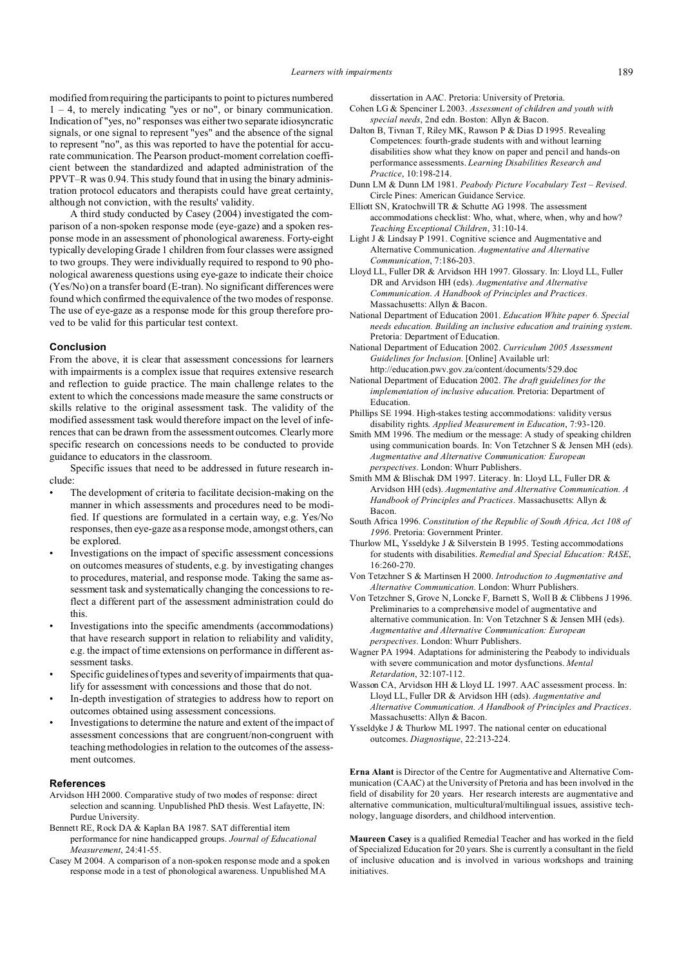modified from requiring the participants to point to pictures numbered 1 – 4, to merely indicating "yes or no", or binary communication. Indication of "yes, no" responses was either two separate idiosyncratic signals, or one signal to represent "yes" and the absence of the signal to represent "no", as this was reported to have the potential for accurate communication. The Pearson product-moment correlation coefficient between the standardized and adapted administration of the PPVT–R was 0.94. This study found that in using the binary administration protocol educators and therapists could have great certainty, although not conviction, with the results' validity.

A third study conducted by Casey (2004) investigated the comparison of a non-spoken response mode (eye-gaze) and a spoken response mode in an assessment of phonological awareness. Forty-eight typically developing Grade 1 children from four classes were assigned to two groups. They were individually required to respond to 90 phonological awareness questions using eye-gaze to indicate their choice (Yes/No) on a transfer board (E-tran). No significant differences were found which confirmed the equivalence of the two modes of response. The use of eye-gaze as a response mode for this group therefore proved to be valid for this particular test context.

### **Conclusion**

From the above, it is clear that assessment concessions for learners with impairments is a complex issue that requires extensive research and reflection to guide practice. The main challenge relates to the extent to which the concessions made measure the same constructs or skills relative to the original assessment task. The validity of the modified assessment task would therefore impact on the level of inferences that can be drawn from the assessment outcomes. Clearly more specific research on concessions needs to be conducted to provide guidance to educators in the classroom.

Specific issues that need to be addressed in future research include:

- The development of criteria to facilitate decision-making on the manner in which assessments and procedures need to be modified. If questions are formulated in a certain way, e.g. Yes/No responses, then eye-gaze as a response mode, amongst others, can be explored.
- Investigations on the impact of specific assessment concessions on outcomes measures of students, e.g. by investigating changes to procedures, material, and response mode. Taking the same assessment task and systematically changing the concessions to reflect a different part of the assessment administration could do this.
- Investigations into the specific amendments (accommodations) that have research support in relation to reliability and validity, e.g. the impact of time extensions on performance in different assessment tasks.
- Specific guidelines of types and severity of impairments that qualify for assessment with concessions and those that do not.
- In-depth investigation of strategies to address how to report on outcomes obtained using assessment concessions.
- Investigations to determine the nature and extent of the impact of assessment concessions that are congruent/non-congruent with teaching methodologies in relation to the outcomes of the assessment outcomes.

## **References**

- Arvidson HH 2000. Comparative study of two modes of response: direct selection and scanning. Unpublished PhD thesis. West Lafayette, IN: Purdue University.
- Bennett RE, Rock DA & Kaplan BA 1987. SAT differential item performance for nine handicapped groups. *Journal of Educational Measurement*, 24:41-55.
- Casey M 2004. A comparison of a non-spoken response mode and a spoken response mode in a test of phonological awareness. Unpublished MA

dissertation in AAC. Pretoria: University of Pretoria.

- Cohen LG & Spenciner L 2003. *Assessment of children and youth with special needs*, 2nd edn. Boston: Allyn & Bacon.
- Dalton B, Tivnan T, Riley MK, Rawson P & Dias D 1995. Revealing Competences: fourth-grade students with and without learning disabilities show what they know on paper and pencil and hands-on performance assessments. *Learning Disabilities Research and Practice*, 10:198-214.
- Dunn LM & Dunn LM 1981. *Peabody Picture Vocabulary Test Revised*. Circle Pines: American Guidance Service.
- Elliott SN, Kratochwill TR & Schutte AG 1998. The assessment accommodations checklist: Who, what, where, when, why and how? *Teaching Exceptional Children*, 31:10-14.
- Light J & Lindsay P 1991. Cognitive science and Augmentative and Alternative Communication. *Augmentative and Alternative Communication*, 7:186-203.
- Lloyd LL, Fuller DR & Arvidson HH 1997. Glossary. In: Lloyd LL, Fuller DR and Arvidson HH (eds). *Augmentative and Alternative Communication*. *A Handbook of Principles and Practices*. Massachusetts: Allyn & Bacon.
- National Department of Education 2001. *Education White paper 6. Special needs education. Building an inclusive education and training system*. Pretoria: Department of Education.
- National Department of Education 2002. *Curriculum 2005 Assessment Guidelines for Inclusion*. [Online] Available url: http://education.pwv.gov.za/content/documents/529.doc
- National Department of Education 2002. *The draft guidelines for the implementation of inclusive education*. Pretoria: Department of Education.
- Phillips SE 1994. High-stakes testing accommodations: validity versus disability rights. *Applied Measurement in Education*, 7:93-120.
- Smith MM 1996. The medium or the message: A study of speaking children using communication boards. In: Von Tetzchner S & Jensen MH (eds). *Augmentative and Alternative Communication: European perspectives*. London: Whurr Publishers.
- Smith MM & Blischak DM 1997. Literacy. In: Lloyd LL, Fuller DR & Arvidson HH (eds). *Augmentative and Alternative Communication. A Handbook of Principles and Practices*. Massachusetts: Allyn & Bacon.
- South Africa 1996. *Constitution of the Republic of South Africa, Act 108 of 1996*. Pretoria: Government Printer.
- Thurlow ML, Ysseldyke J & Silverstein B 1995. Testing accommodations for students with disabilities. *Remedial and Special Education: RASE*, 16:260-270.
- Von Tetzchner S & Martinsen H 2000. *Introduction to Augmentative and Alternative Communication*. London: Whurr Publishers.
- Von Tetzchner S, Grove N, Loncke F, Barnett S, Woll B & Clibbens J 1996. Preliminaries to a comprehensive model of augmentative and alternative communication. In: Von Tetzchner S & Jensen MH (eds). *Augmentative and Alternative Communication: European perspectives*. London: Whurr Publishers.
- Wagner PA 1994. Adaptations for administering the Peabody to individuals with severe communication and motor dysfunctions. *Mental Retardation*, 32:107-112.
- Wasson CA, Arvidson HH & Lloyd LL 1997. AAC assessment process. In: Lloyd LL, Fuller DR & Arvidson HH (eds). *Augmentative and Alternative Communication. A Handbook of Principles and Practices*. Massachusetts: Allyn & Bacon.
- Ysseldyke J & Thurlow ML 1997. The national center on educational outcomes. *Diagnostique*, 22:213-224.

**Erna Alant** is Director of the Centre for Augmentative and Alternative Communication (CAAC) at the University of Pretoria and has been involved in the field of disability for 20 years. Her research interests are augmentative and alternative communication, multicultural/multilingual issues, assistive technology, language disorders, and childhood intervention.

**Maureen Casey** is a qualified Remedial Teacher and has worked in the field of Specialized Education for 20 years. She is currently a consultant in the field of inclusive education and is involved in various workshops and training initiatives.